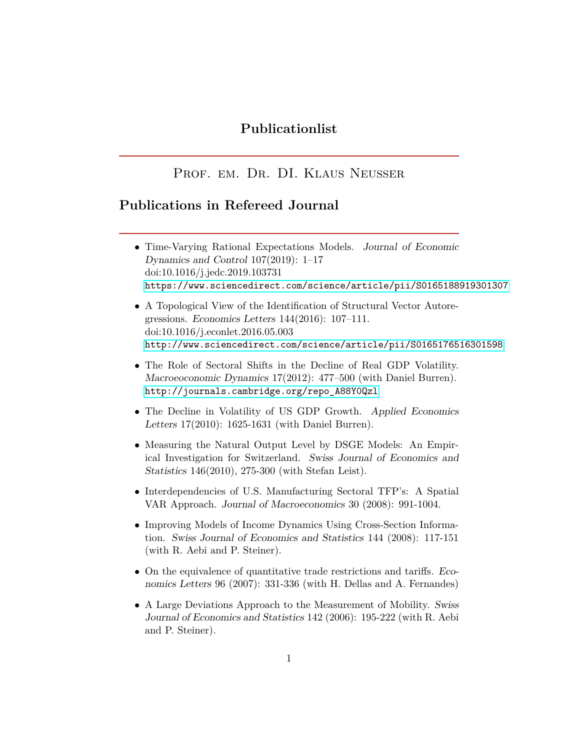# **Publicationlist**

# PROF. EM. DR. DI. KLAUS NEUSSER

## **Publications in Refereed Journal**

| • Time-Varying Rational Expectations Models. Journal of Economic    |
|---------------------------------------------------------------------|
| Dynamics and Control $107(2019)$ : 1-17                             |
| $\frac{1011016}{j}$ .jedc.2019.103731                               |
| https://www.sciencedirect.com/science/article/pii/S0165188919301307 |
|                                                                     |

- A Topological View of the Identification of Structural Vector Autoregressions. Economics Letters 144(2016): 107–111. doi:10.1016/j.econlet.2016.05.003 <http://www.sciencedirect.com/science/article/pii/S0165176516301598>
- The Role of Sectoral Shifts in the Decline of Real GDP Volatility. Macroeoconomic Dynamics 17(2012): 477–500 (with Daniel Burren). [http://journals.cambridge.org/repo\\_A88Y0Qzl](http://journals.cambridge.org/repo_A88Y0Qzl)
- The Decline in Volatility of US GDP Growth. Applied Economics Letters 17(2010): 1625-1631 (with Daniel Burren).
- Measuring the Natural Output Level by DSGE Models: An Empirical Investigation for Switzerland. Swiss Journal of Economics and Statistics 146(2010), 275-300 (with Stefan Leist).
- Interdependencies of U.S. Manufacturing Sectoral TFP's: A Spatial VAR Approach. Journal of Macroeconomics 30 (2008): 991-1004.
- Improving Models of Income Dynamics Using Cross-Section Information. Swiss Journal of Economics and Statistics 144 (2008): 117-151 (with R. Aebi and P. Steiner).
- On the equivalence of quantitative trade restrictions and tariffs. Economics Letters 96 (2007): 331-336 (with H. Dellas and A. Fernandes)
- A Large Deviations Approach to the Measurement of Mobility. Swiss Journal of Economics and Statistics 142 (2006): 195-222 (with R. Aebi and P. Steiner).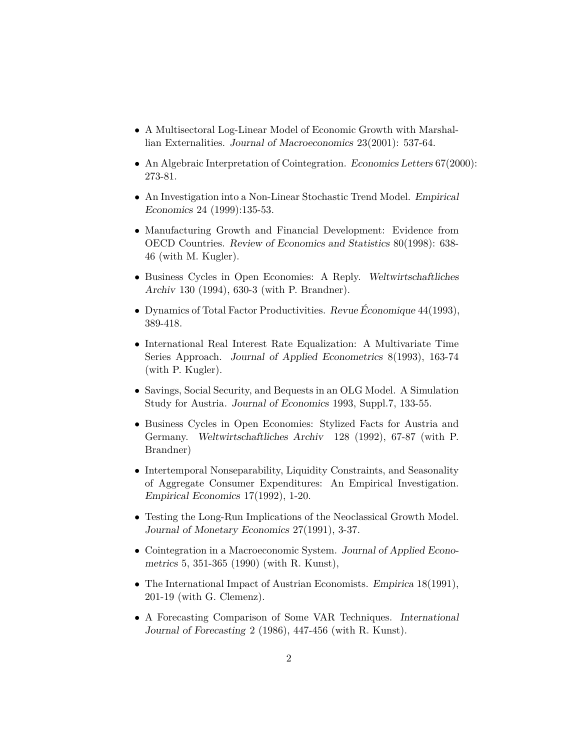- A Multisectoral Log-Linear Model of Economic Growth with Marshallian Externalities. Journal of Macroeconomics 23(2001): 537-64.
- An Algebraic Interpretation of Cointegration. Economics Letters 67(2000): 273-81.
- An Investigation into a Non-Linear Stochastic Trend Model. Empirical Economics 24 (1999):135-53.
- Manufacturing Growth and Financial Development: Evidence from OECD Countries. Review of Economics and Statistics 80(1998): 638- 46 (with M. Kugler).
- Business Cycles in Open Economies: A Reply. Weltwirtschaftliches Archiv 130 (1994), 630-3 (with P. Brandner).
- Dynamics of Total Factor Productivities. Revue Économique 44(1993), 389-418.
- International Real Interest Rate Equalization: A Multivariate Time Series Approach. Journal of Applied Econometrics 8(1993), 163-74 (with P. Kugler).
- Savings, Social Security, and Bequests in an OLG Model. A Simulation Study for Austria. Journal of Economics 1993, Suppl.7, 133-55.
- Business Cycles in Open Economies: Stylized Facts for Austria and Germany. Weltwirtschaftliches Archiv 128 (1992), 67-87 (with P. Brandner)
- Intertemporal Nonseparability, Liquidity Constraints, and Seasonality of Aggregate Consumer Expenditures: An Empirical Investigation. Empirical Economics 17(1992), 1-20.
- Testing the Long-Run Implications of the Neoclassical Growth Model. Journal of Monetary Economics 27(1991), 3-37.
- Cointegration in a Macroeconomic System. Journal of Applied Econometrics 5, 351-365 (1990) (with R. Kunst),
- The International Impact of Austrian Economists. *Empirica* 18(1991), 201-19 (with G. Clemenz).
- A Forecasting Comparison of Some VAR Techniques. International Journal of Forecasting 2 (1986), 447-456 (with R. Kunst).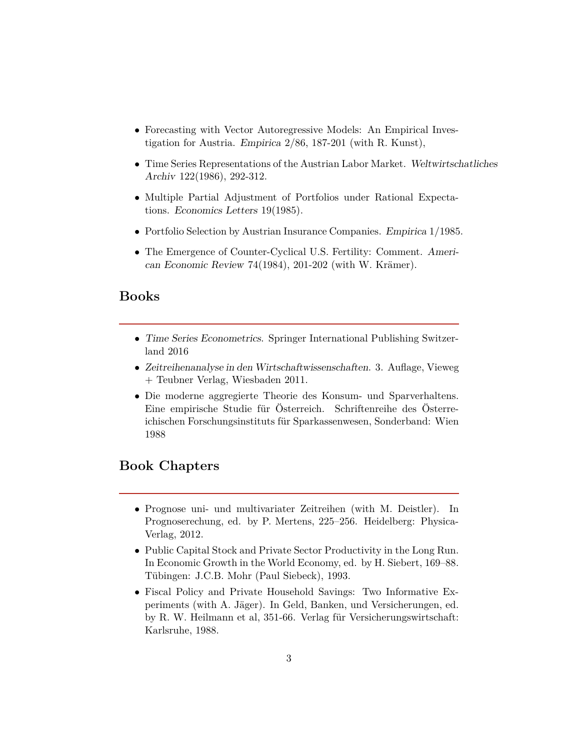- Forecasting with Vector Autoregressive Models: An Empirical Investigation for Austria. Empirica 2/86, 187-201 (with R. Kunst),
- Time Series Representations of the Austrian Labor Market. Weltwirtschatliches Archiv 122(1986), 292-312.
- Multiple Partial Adjustment of Portfolios under Rational Expectations. Economics Letters 19(1985).
- Portfolio Selection by Austrian Insurance Companies. Empirica 1/1985.
- The Emergence of Counter-Cyclical U.S. Fertility: Comment. American Economic Review 74(1984), 201-202 (with W. Krämer).

#### **Books**

- Time Series Econometrics. Springer International Publishing Switzerland 2016
- Zeitreihenanalyse in den Wirtschaftwissenschaften. 3. Auflage, Vieweg + Teubner Verlag, Wiesbaden 2011.
- Die moderne aggregierte Theorie des Konsum- und Sparverhaltens. Eine empirische Studie für Österreich. Schriftenreihe des Österreichischen Forschungsinstituts für Sparkassenwesen, Sonderband: Wien 1988

# **Book Chapters**

- Prognose uni- und multivariater Zeitreihen (with M. Deistler). In Prognoserechung, ed. by P. Mertens, 225–256. Heidelberg: Physica-Verlag, 2012.
- Public Capital Stock and Private Sector Productivity in the Long Run. In Economic Growth in the World Economy, ed. by H. Siebert, 169–88. Tübingen: J.C.B. Mohr (Paul Siebeck), 1993.
- Fiscal Policy and Private Household Savings: Two Informative Experiments (with A. Jäger). In Geld, Banken, und Versicherungen, ed. by R. W. Heilmann et al, 351-66. Verlag für Versicherungswirtschaft: Karlsruhe, 1988.